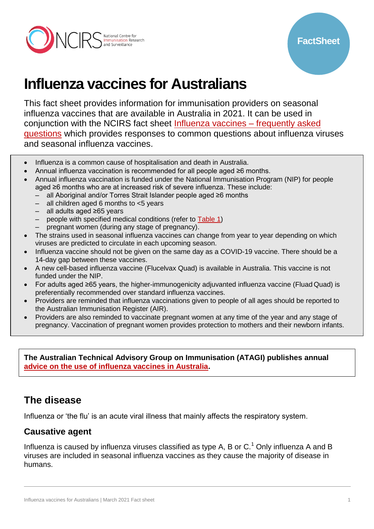

# **Influenza vaccines for Australians**

This fact sheet provides information for immunisation providers on seasonal influenza vaccines that are available in Australia in 2021. It can be used in conjunction with the NCIRS fact sheet [Influenza vaccines –](http://ncirs.org.au/ncirs-fact-sheets-faqs/influenza-vaccines-australians-faqs) frequently asked [questions](http://ncirs.org.au/ncirs-fact-sheets-faqs/influenza-vaccines-australians-faqs) which provides responses to common questions about influenza viruses and seasonal influenza vaccines.

- Influenza is a common cause of hospitalisation and death in Australia.
- Annual influenza vaccination is recommended for all people aged ≥6 months.
- Annual influenza vaccination is funded under the National Immunisation Program (NIP) for people aged ≥6 months who are at increased risk of severe influenza. These include:
	- all Aboriginal and/or Torres Strait Islander people aged ≥6 months
	- all children aged 6 months to <5 years
	- all adults aged ≥65 years
	- people with specified medical conditions (refer to [Table 1\)](#page-3-0)
	- pregnant women (during any stage of pregnancy).
- The strains used in seasonal influenza vaccines can change from year to year depending on which viruses are predicted to circulate in each upcoming season.
- Influenza vaccine should not be given on the same day as a COVID-19 vaccine. There should be a 14-day gap between these vaccines.
- A new cell-based influenza vaccine (Flucelvax Quad) is available in Australia. This vaccine is not funded under the NIP.
- For adults aged ≥65 years, the higher-immunogenicity adjuvanted influenza vaccine (Fluad Quad) is preferentially recommended over standard influenza vaccines.
- Providers are reminded that influenza vaccinations given to people of all ages should be reported to the Australian Immunisation Register (AIR).
- Providers are also reminded to vaccinate pregnant women at any time of the year and any stage of pregnancy. Vaccination of pregnant women provides protection to mothers and their newborn infants.

**The Australian Technical Advisory Group on Immunisation (ATAGI) publishes annual [advice on the use of influenza vaccines in Australia.](https://www.health.gov.au/resources/publications/atagi-advice-on-seasonal-influenza-vaccines-in-2021)** 

# **The disease**

Influenza or 'the flu' is an acute viral illness that mainly affects the respiratory system.

#### **Causative agent**

Influenza is caused by influenza viruses classified as type A, B or  $C<sup>1</sup>$  Only influenza A and B viruses are included in seasonal influenza vaccines as they cause the majority of disease in humans.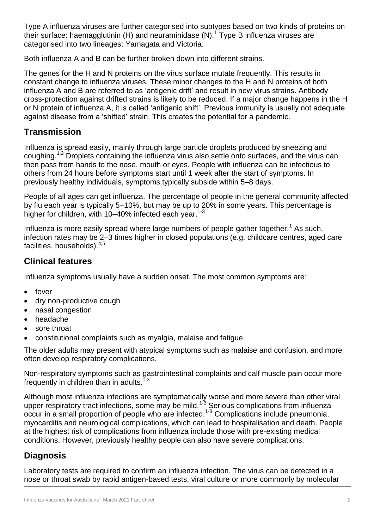Type A influenza viruses are further categorised into subtypes based on two kinds of proteins on their surface: haemagglutinin (H) and neuraminidase (N).<sup>1</sup> Type B influenza viruses are categorised into two lineages: Yamagata and Victoria.

Both influenza A and B can be further broken down into different strains.

The genes for the H and N proteins on the virus surface mutate frequently. This results in constant change to influenza viruses. These minor changes to the H and N proteins of both influenza A and B are referred to as 'antigenic drift' and result in new virus strains. Antibody cross-protection against drifted strains is likely to be reduced. If a major change happens in the H or N protein of influenza A, it is called 'antigenic shift'. Previous immunity is usually not adequate against disease from a 'shifted' strain. This creates the potential for a pandemic.

## **Transmission**

Influenza is spread easily, mainly through large particle droplets produced by sneezing and coughing.<sup>1,2</sup> Droplets containing the influenza virus also settle onto surfaces, and the virus can then pass from hands to the nose, mouth or eyes. People with influenza can be infectious to others from 24 hours before symptoms start until 1 week after the start of symptoms. In previously healthy individuals, symptoms typically subside within 5–8 days.

People of all ages can get influenza. The percentage of people in the general community affected by flu each year is typically 5–10%, but may be up to 20% in some years. This percentage is higher for children, with 10–40% infected each year.<sup>1-3</sup>

Influenza is more easily spread where large numbers of people gather together.<sup>1</sup> As such, infection rates may be 2–3 times higher in closed populations (e.g. childcare centres, aged care facilities, households).4,5

## **Clinical features**

Influenza symptoms usually have a sudden onset. The most common symptoms are:

- fever
- dry non-productive cough
- nasal congestion
- headache
- sore throat
- constitutional complaints such as myalgia, malaise and fatigue.

The older adults may present with atypical symptoms such as malaise and confusion, and more often develop respiratory complications.

Non-respiratory symptoms such as gastrointestinal complaints and calf muscle pain occur more frequently in children than in adults.<sup> $7,3$ </sup>

Although most influenza infections are symptomatically worse and more severe than other viral upper respiratory tract infections, some may be mild.<sup>1-3</sup> Serious complications from influenza occur in a small proportion of people who are infected.<sup>1-3</sup> Complications include pneumonia, myocarditis and neurological complications, which can lead to hospitalisation and death. People at the highest risk of complications from influenza include those with pre-existing medical conditions. However, previously healthy people can also have severe complications.

## **Diagnosis**

Laboratory tests are required to confirm an influenza infection. The virus can be detected in a nose or throat swab by rapid antigen-based tests, viral culture or more commonly by molecular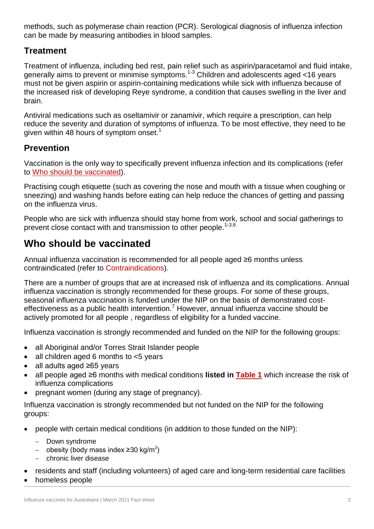methods, such as polymerase chain reaction (PCR). Serological diagnosis of influenza infection can be made by measuring antibodies in blood samples.

## **Treatment**

Treatment of influenza, including bed rest, pain relief such as aspirin/paracetamol and fluid intake, generally aims to prevent or minimise symptoms.1-3 Children and adolescents aged <16 years must not be given aspirin or aspirin-containing medications while sick with influenza because of the increased risk of developing Reye syndrome, a condition that causes swelling in the liver and brain.

Antiviral medications such as oseltamivir or zanamivir, which require a prescription, can help reduce the severity and duration of symptoms of influenza. To be most effective, they need to be given within 48 hours of symptom onset.<sup>1</sup>

## **Prevention**

Vaccination is the only way to specifically prevent influenza infection and its complications (refer to [Who should be vaccinated\)](#page-2-0).

Practising cough etiquette (such as covering the nose and mouth with a tissue when coughing or sneezing) and washing hands before eating can help reduce the chances of getting and passing on the influenza virus.

People who are sick with influenza should stay home from work, school and social gatherings to prevent close contact with and transmission to other people.<sup>1-3,6</sup>

# <span id="page-2-0"></span>**Who should be vaccinated**

Annual influenza vaccination is recommended for all people aged ≥6 months unless contraindicated (refer to [Contraindications\)](#page-4-0).

There are a number of groups that are at increased risk of influenza and its complications. Annual influenza vaccination is strongly recommended for these groups. For some of these groups, seasonal influenza vaccination is funded under the NIP on the basis of demonstrated costeffectiveness as a public health intervention.<sup>7</sup> However, annual influenza vaccine should be actively promoted for all people , regardless of eligibility for a funded vaccine.

Influenza vaccination is strongly recommended and funded on the NIP for the following groups:

- all Aboriginal and/or Torres Strait Islander people
- all children aged 6 months to <5 years
- all adults aged ≥65 years
- all people aged ≥6 months with medical conditions **listed in [Table 1](#page-3-0)** which increase the risk of influenza complications
- pregnant women (during any stage of pregnancy).

Influenza vaccination is strongly recommended but not funded on the NIP for the following groups:

- people with certain medical conditions (in addition to those funded on the NIP):
	- Down syndrome
	- obesity (body mass index ≥30 kg/m<sup>2</sup>)
	- chronic liver disease
- residents and staff (including volunteers) of aged care and long-term residential care facilities
- homeless people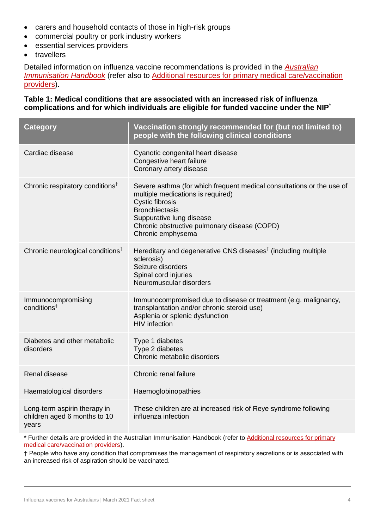- carers and household contacts of those in high-risk groups
- commercial poultry or pork industry workers
- essential services providers
- travellers

Detailed information on influenza vaccine recommendations is provided in the *[Australian](https://immunisationhandbook.health.gov.au/vaccine-preventable-diseases/influenza-flu)  [Immunisation Handbook](https://immunisationhandbook.health.gov.au/vaccine-preventable-diseases/influenza-flu)* (refer also to [Additional resources for primary medical care/vaccination](#page-9-0)  [providers\)](#page-9-0).

#### <span id="page-3-0"></span>**Table 1: Medical conditions that are associated with an increased risk of influenza complications and for which individuals are eligible for funded vaccine under the NIP\***

| <b>Category</b>                                                       | Vaccination strongly recommended for (but not limited to)<br>people with the following clinical conditions                                                                                                                                                     |
|-----------------------------------------------------------------------|----------------------------------------------------------------------------------------------------------------------------------------------------------------------------------------------------------------------------------------------------------------|
| Cardiac disease                                                       | Cyanotic congenital heart disease<br>Congestive heart failure<br>Coronary artery disease                                                                                                                                                                       |
| Chronic respiratory conditions <sup>†</sup>                           | Severe asthma (for which frequent medical consultations or the use of<br>multiple medications is required)<br><b>Cystic fibrosis</b><br><b>Bronchiectasis</b><br>Suppurative lung disease<br>Chronic obstructive pulmonary disease (COPD)<br>Chronic emphysema |
| Chronic neurological conditions <sup>†</sup>                          | Hereditary and degenerative CNS diseases <sup>†</sup> (including multiple<br>sclerosis)<br>Seizure disorders<br>Spinal cord injuries<br>Neuromuscular disorders                                                                                                |
| Immunocompromising<br>conditions <sup>#</sup>                         | Immunocompromised due to disease or treatment (e.g. malignancy,<br>transplantation and/or chronic steroid use)<br>Asplenia or splenic dysfunction<br><b>HIV</b> infection                                                                                      |
| Diabetes and other metabolic<br>disorders                             | Type 1 diabetes<br>Type 2 diabetes<br>Chronic metabolic disorders                                                                                                                                                                                              |
| Renal disease                                                         | Chronic renal failure                                                                                                                                                                                                                                          |
| Haematological disorders                                              | Haemoglobinopathies                                                                                                                                                                                                                                            |
| Long-term aspirin therapy in<br>children aged 6 months to 10<br>years | These children are at increased risk of Reye syndrome following<br>influenza infection                                                                                                                                                                         |

\* Further details are provided in [the Australian Immunisation Handbook](https://immunisationhandbook.health.gov.au/) (refer to [Additional resources for primary](#page-9-0)  [medical care/vaccination providers\)](#page-9-0).

† People who have any condition that compromises the management of respiratory secretions or is associated with an increased risk of aspiration should be vaccinated.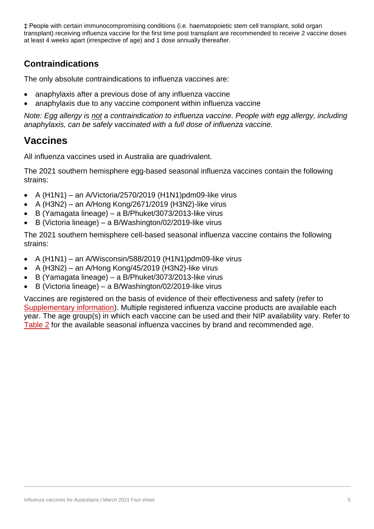‡ People with certain immunocompromising conditions (i.e. haematopoietic stem cell transplant, solid organ transplant) receiving influenza vaccine for the first time post transplant are recommended to receive 2 vaccine doses at least 4 weeks apart (irrespective of age) and 1 dose annually thereafter.

# <span id="page-4-0"></span>**Contraindications**

The only absolute contraindications to influenza vaccines are:

- anaphylaxis after a previous dose of any influenza vaccine
- anaphylaxis due to any vaccine component within influenza vaccine

*Note: Egg allergy is not a contraindication to influenza vaccine. People with egg allergy, including anaphylaxis, can be safely vaccinated with a full dose of influenza vaccine.* 

# **Vaccines**

All influenza vaccines used in Australia are quadrivalent.

The 2021 southern hemisphere egg-based seasonal influenza vaccines contain the following strains:

- $\bullet$  A (H1N1) an A/Victoria/2570/2019 (H1N1)pdm09-like virus
- A (H3N2) an A/Hong Kong/2671/2019 (H3N2)-like virus
- B (Yamagata lineage) a B/Phuket/3073/2013-like virus
- B (Victoria lineage) a B/Washington/02/2019-like virus

The 2021 southern hemisphere cell-based seasonal influenza vaccine contains the following strains:

- $\bullet$  A (H1N1) an A/Wisconsin/588/2019 (H1N1)pdm09-like virus
- A (H3N2) an A/Hong Kong/45/2019 (H3N2)-like virus
- B (Yamagata lineage) a B/Phuket/3073/2013-like virus
- B (Victoria lineage) a B/Washington/02/2019-like virus

Vaccines are registered on the basis of evidence of their effectiveness and safety (refer to Supplementary information). Multiple registered influenza vaccine products are available each year. The age group(s) in which each vaccine can be used and their NIP availability vary. Refer to [Table 2](#page-9-1) for the available seasonal influenza vaccines by brand and recommended age.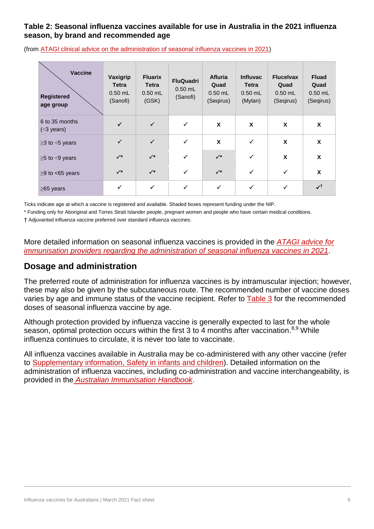#### **Table 2: Seasonal influenza vaccines available for use in Australia in the 2021 influenza season, by brand and recommended age**

| Vaccine<br><b>Registered</b><br>age group | Vaxigrip<br><b>Tetra</b><br>$0.50$ mL<br>(Sanofi) | <b>Fluarix</b><br><b>Tetra</b><br>$0.50$ mL<br>(GSK) | <b>FluQuadri</b><br>$0.50$ mL<br>(Sanofi) | <b>Afluria</b><br>Quad<br>$0.50$ mL<br>(Seqirus) | <b>Influvac</b><br><b>Tetra</b><br>$0.50$ mL<br>(Mylan) | <b>Flucelvax</b><br>Quad<br>$0.50$ mL<br>(Seqirus) | <b>Fluad</b><br>Quad<br>$0.50$ mL<br>(Seqirus) |
|-------------------------------------------|---------------------------------------------------|------------------------------------------------------|-------------------------------------------|--------------------------------------------------|---------------------------------------------------------|----------------------------------------------------|------------------------------------------------|
| 6 to 35 months<br>$(<$ 3 years)           | $\checkmark$                                      | $\checkmark$                                         | $\checkmark$                              | X                                                | X                                                       | X                                                  | X                                              |
| $\geq$ 3 to <5 years                      | $\checkmark$                                      | $\checkmark$                                         | $\checkmark$                              | X                                                | $\checkmark$                                            | X                                                  | X                                              |
| $\geq$ 5 to $\leq$ 9 years                | $\checkmark^*$                                    | $\checkmark$                                         | ✓                                         | $\checkmark$                                     | ✓                                                       | X                                                  | X                                              |
| $\geq$ 9 to <65 years                     | $\checkmark$                                      | $\checkmark$                                         | ✓                                         | $\checkmark$                                     | $\checkmark$                                            | ✓                                                  | X                                              |
| $\geq$ 65 years                           | $\checkmark$                                      | $\checkmark$                                         | $\checkmark$                              | ✓                                                | $\checkmark$                                            | ✓                                                  | ✓†                                             |

(from [ATAGI clinical advice on the administration of seasonal influenza vaccines in 2021\)](https://www.health.gov.au/resources/publications/atagi-advice-on-seasonal-influenza-vaccines-in-2021)

Ticks indicate age at which a vaccine is registered and available. Shaded boxes represent funding under the NIP.

\* Funding only for Aboriginal and Torres Strait Islander people, pregnant women and people who have certain medical conditions.

† Adjuvanted influenza vaccine preferred over standard influenza vaccines.

More detailed information on seasonal influenza vaccines is provided in the *[ATAGI advice for](https://www.health.gov.au/resources/publications/atagi-advice-on-seasonal-influenza-vaccines-in-2021)  [immunisation providers regarding the administration of seasonal influenza vaccines in 2021](https://www.health.gov.au/resources/publications/atagi-advice-on-seasonal-influenza-vaccines-in-2021)*.

#### **Dosage and administration**

The preferred route of administration for influenza vaccines is by intramuscular injection; however, these may also be given by the subcutaneous route. The recommended number of vaccine doses varies by age and immune status of the vaccine recipient. Refer to [Table 3](#page-5-0) for the recommended doses of seasonal influenza vaccine by age.

Although protection provided by influenza vaccine is generally expected to last for the whole season, optimal protection occurs within the first 3 to 4 months after vaccination.<sup>8,9</sup> While influenza continues to circulate, it is never too late to vaccinate.

<span id="page-5-0"></span>All influenza vaccines available in Australia may be co-administered with any other vaccine (refer to [Supplementary information, Safety in infants and children\)](#page-6-0). Detailed information on the administration of influenza vaccines, including co-administration and vaccine interchangeability, is provided in the *[Australian Immunisation Handbook](https://immunisationhandbook.health.gov.au/vaccine-preventable-diseases/influenza-flu)*.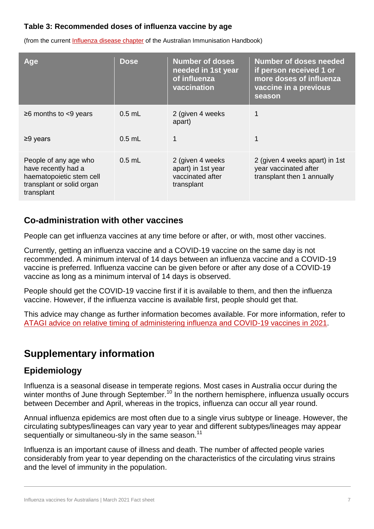#### **Table 3: Recommended doses of influenza vaccine by age**

(from the current [Influenza disease chapter](https://immunisationhandbook.health.gov.au/vaccine-preventable-diseases/influenza-flu) of the Australian Immunisation Handbook)

| Age                                                                                                                 | <b>Dose</b> | <b>Number of doses</b><br>needed in 1st year<br>of influenza<br>vaccination | <b>Number of doses needed</b><br>if person received 1 or<br>more doses of influenza<br>vaccine in a previous<br>season |
|---------------------------------------------------------------------------------------------------------------------|-------------|-----------------------------------------------------------------------------|------------------------------------------------------------------------------------------------------------------------|
| $\geq$ 6 months to <9 years                                                                                         | $0.5$ mL    | 2 (given 4 weeks)<br>apart)                                                 |                                                                                                                        |
| $\geq$ 9 years                                                                                                      | $0.5$ mL    | 1                                                                           |                                                                                                                        |
| People of any age who<br>have recently had a<br>haematopoietic stem cell<br>transplant or solid organ<br>transplant | $0.5$ mL    | 2 (given 4 weeks)<br>apart) in 1st year<br>vaccinated after<br>transplant   | 2 (given 4 weeks apart) in 1st<br>year vaccinated after<br>transplant then 1 annually                                  |

#### <span id="page-6-0"></span>**Co-administration with other vaccines**

People can get influenza vaccines at any time before or after, or with, most other vaccines.

Currently, getting an influenza vaccine and a COVID-19 vaccine on the same day is not recommended. A minimum interval of 14 days between an influenza vaccine and a COVID-19 vaccine is preferred. Influenza vaccine can be given before or after any dose of a COVID-19 vaccine as long as a minimum interval of 14 days is observed.

People should get the COVID-19 vaccine first if it is available to them, and then the influenza vaccine. However, if the influenza vaccine is available first, people should get that.

This advice may change as further information becomes available. For more information, refer to [ATAGI advice on relative timing of administering influenza and COVID-19 vaccines in 2021.](https://www.health.gov.au/resources/publications/covid-19-vaccination-atagi-advice-on-influenza-and-covid-19-vaccines)

# **Supplementary information**

## **Epidemiology**

Influenza is a seasonal disease in temperate regions. Most cases in Australia occur during the winter months of June through September.<sup>10</sup> In the northern hemisphere, influenza usually occurs between December and April, whereas in the tropics, influenza can occur all year round.

Annual influenza epidemics are most often due to a single virus subtype or lineage. However, the circulating subtypes/lineages can vary year to year and different subtypes/lineages may appear sequentially or simultaneou-sly in the same season.<sup>11</sup>

Influenza is an important cause of illness and death. The number of affected people varies considerably from year to year depending on the characteristics of the circulating virus strains and the level of immunity in the population.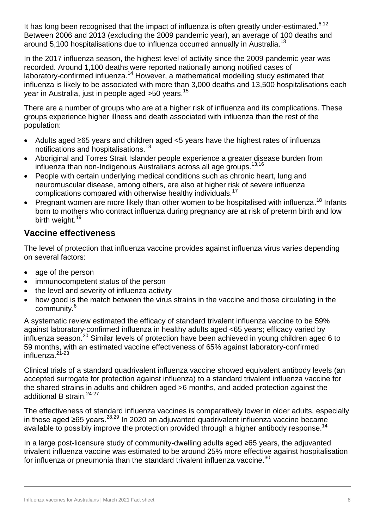It has long been recognised that the impact of influenza is often greatly under-estimated.<sup>6,12</sup> Between 2006 and 2013 (excluding the 2009 pandemic year), an average of 100 deaths and around 5,100 hospitalisations due to influenza occurred annually in Australia.<sup>13</sup>

In the 2017 influenza season, the highest level of activity since the 2009 pandemic year was recorded. Around 1,100 deaths were reported nationally among notified cases of laboratory-confirmed influenza.<sup>14</sup> However, a mathematical modelling study estimated that influenza is likely to be associated with more than 3,000 deaths and 13,500 hospitalisations each year in Australia, just in people aged >50 years.<sup>15</sup>

There are a number of groups who are at a higher risk of influenza and its complications. These groups experience higher illness and death associated with influenza than the rest of the population:

- Adults aged ≥65 years and children aged <5 years have the highest rates of influenza notifications and hospitalisations.<sup>13</sup>
- Aboriginal and Torres Strait Islander people experience a greater disease burden from influenza than non-Indigenous Australians across all age groups.13,16
- People with certain underlying medical conditions such as chronic heart, lung and neuromuscular disease, among others, are also at higher risk of severe influenza complications compared with otherwise healthy individuals.<sup>17</sup>
- Pregnant women are more likely than other women to be hospitalised with influenza.<sup>18</sup> Infants born to mothers who contract influenza during pregnancy are at risk of preterm birth and low birth weight.<sup>19</sup>

## **Vaccine effectiveness**

The level of protection that influenza vaccine provides against influenza virus varies depending on several factors:

- age of the person
- immunocompetent status of the person
- the level and severity of influenza activity
- how good is the match between the virus strains in the vaccine and those circulating in the community.<sup>6</sup>

A systematic review estimated the efficacy of standard trivalent influenza vaccine to be 59% against laboratory-confirmed influenza in healthy adults aged <65 years; efficacy varied by influenza season.<sup>20</sup> Similar levels of protection have been achieved in young children aged 6 to 59 months, with an estimated vaccine effectiveness of 65% against laboratory-confirmed influenza.<sup>21-23</sup>

Clinical trials of a standard quadrivalent influenza vaccine showed equivalent antibody levels (an accepted surrogate for protection against influenza) to a standard trivalent influenza vaccine for the shared strains in adults and children aged >6 months, and added protection against the additional B strain.<sup>24-27</sup>

The effectiveness of standard influenza vaccines is comparatively lower in older adults, especially in those aged ≥65 years.<sup>28,29</sup> In 2020 an adjuvanted quadrivalent influenza vaccine became available to possibly improve the protection provided through a higher antibody response.<sup>14</sup>

In a large post-licensure study of community-dwelling adults aged ≥65 years, the adjuvanted trivalent influenza vaccine was estimated to be around 25% more effective against hospitalisation for influenza or pneumonia than the standard trivalent influenza vaccine. $^{30}$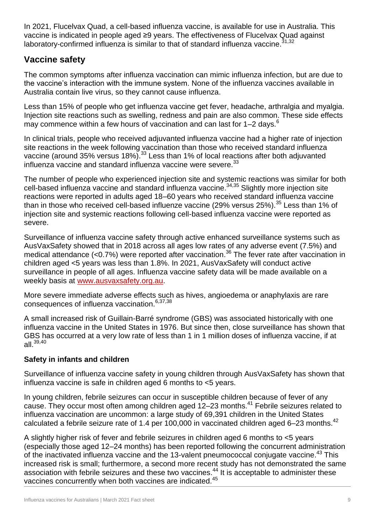In 2021, Flucelvax Quad, a cell-based influenza vaccine, is available for use in Australia. This vaccine is indicated in people aged ≥9 years. The effectiveness of Flucelvax Quad against laboratory-confirmed influenza is similar to that of standard influenza vaccine.  $31,32$ 

## **Vaccine safety**

The common symptoms after influenza vaccination can mimic influenza infection, but are due to the vaccine's interaction with the immune system. None of the influenza vaccines available in Australia contain live virus, so they cannot cause influenza.

Less than 15% of people who get influenza vaccine get fever, headache, arthralgia and myalgia. Injection site reactions such as swelling, redness and pain are also common. These side effects may commence within a few hours of vaccination and can last for  $1-2$  days.<sup>6</sup>

In clinical trials, people who received adjuvanted influenza vaccine had a higher rate of injection site reactions in the week following vaccination than those who received standard influenza vaccine (around 35% versus 18%).<sup>33</sup> Less than 1% of local reactions after both adjuvanted influenza vaccine and standard influenza vaccine were severe.<sup>33</sup>

The number of people who experienced injection site and systemic reactions was similar for both cell-based influenza vaccine and standard influenza vaccine.<sup>34,35</sup> Slightly more injection site reactions were reported in adults aged 18–60 years who received standard influenza vaccine than in those who received cell-based influenze vaccine (29% versus 25%).<sup>35</sup> Less than 1% of injection site and systemic reactions following cell-based influenza vaccine were reported as severe.

Surveillance of influenza vaccine safety through active enhanced surveillance systems such as AusVaxSafety showed that in 2018 across all ages low rates of any adverse event (7.5%) and medical attendance (<0.7%) were reported after vaccination.<sup>36</sup> The fever rate after vaccination in children aged <5 years was less than 1.8%. In 2021, AusVaxSafety will conduct active surveillance in people of all ages. Influenza vaccine safety data will be made available on a weekly basis at [www.ausvaxsafety.org.au.](http://www.ausvaxsafety.org.au/)

More severe immediate adverse effects such as hives, angioedema or anaphylaxis are rare consequences of influenza vaccination.6,37,38

A small increased risk of Guillain-Barré syndrome (GBS) was associated historically with one influenza vaccine in the United States in 1976. But since then, close surveillance has shown that GBS has occurred at a very low rate of less than 1 in 1 million doses of influenza vaccine, if at all.39,40

#### **Safety in infants and children**

Surveillance of influenza vaccine safety in young children through AusVaxSafety has shown that influenza vaccine is safe in children aged 6 months to <5 years.

In young children, febrile seizures can occur in susceptible children because of fever of any cause. They occur most often among children aged 12–23 months.<sup>41</sup> Febrile seizures related to influenza vaccination are uncommon: a large study of 69,391 children in the United States calculated a febrile seizure rate of 1.4 per  $100,000$  in vaccinated children aged 6-23 months.<sup>42</sup>

A slightly higher risk of fever and febrile seizures in children aged 6 months to <5 years (especially those aged 12–24 months) has been reported following the concurrent administration of the inactivated influenza vaccine and the 13-valent pneumococcal conjugate vaccine.<sup>43</sup> This increased risk is small; furthermore, a second more recent study has not demonstrated the same association with febrile seizures and these two vaccines.<sup>44</sup> It is acceptable to administer these vaccines concurrently when both vaccines are indicated.<sup>45</sup>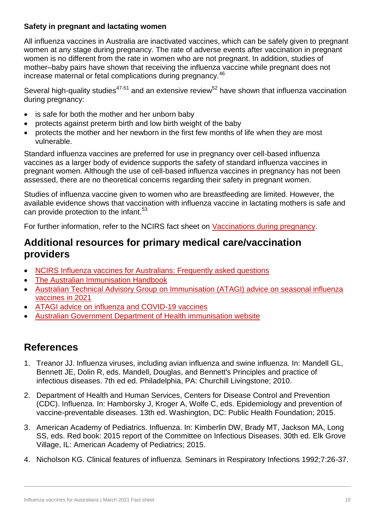#### **Safety in pregnant and lactating women**

All influenza vaccines in Australia are inactivated vaccines, which can be safely given to pregnant women at any stage during pregnancy. The rate of adverse events after vaccination in pregnant women is no different from the rate in women who are not pregnant. In addition, studies of mother–baby pairs have shown that receiving the influenza vaccine while pregnant does not increase maternal or fetal complications during pregnancy.<sup>46</sup>

Several high-quality studies<sup>47-51</sup> and an extensive review<sup>52</sup> have shown that influenza vaccination during pregnancy:

- is safe for both the mother and her unborn baby
- protects against preterm birth and low birth weight of the baby
- protects the mother and her newborn in the first few months of life when they are most vulnerable.

Standard influenza vaccines are preferred for use in pregnancy over cell-based influenza vaccines as a larger body of evidence supports the safety of standard influenza vaccines in pregnant women. Although the use of cell-based influenza vaccines in pregnancy has not been assessed, there are no theoretical concerns regarding their safety in pregnant women.

Studies of influenza vaccine given to women who are breastfeeding are limited. However, the available evidence shows that vaccination with influenza vaccine in lactating mothers is safe and can provide protection to the infant.<sup>53</sup>

For further information, refer to the NCIRS fact sheet on [Vaccinations during pregnancy.](http://ncirs.org.au/ncirs-fact-sheets-faqs/vaccinations-during-pregnancy)

# <span id="page-9-0"></span>**Additional resources for primary medical care/vaccination providers**

- [NCIRS Influenza vaccines for Australians: Frequently asked questions](https://www.ncirs.org.au/ncirs-fact-sheets-faqs/influenza-vaccines-australians-faqs)
- [The Australian Immunisation Handbook](https://immunisationhandbook.health.gov.au/)
- [Australian Technical Advisory Group on Immunisation \(ATAGI\) advice on seasonal influenza](https://www.health.gov.au/resources/publications/atagi-advice-on-seasonal-influenza-vaccines-in-2021)  [vaccines in 2021](https://www.health.gov.au/resources/publications/atagi-advice-on-seasonal-influenza-vaccines-in-2021)
- [ATAGI advice on influenza and COVID-19 vaccines](https://www.health.gov.au/resources/publications/covid-19-vaccination-atagi-advice-on-influenza-and-covid-19-vaccines)
- [Australian Government Department of Health immunisation website](https://www.health.gov.au/health-topics/immunisation)

# <span id="page-9-1"></span>**References**

- 1. Treanor JJ. Influenza viruses, including avian influenza and swine influenza. In: Mandell GL, Bennett JE, Dolin R, eds. Mandell, Douglas, and Bennett's Principles and practice of infectious diseases. 7th ed ed. Philadelphia, PA: Churchill Livingstone; 2010.
- 2. Department of Health and Human Services, Centers for Disease Control and Prevention (CDC). Influenza. In: Hamborsky J, Kroger A, Wolfe C, eds. Epidemiology and prevention of vaccine-preventable diseases. 13th ed. Washington, DC: Public Health Foundation; 2015.
- 3. American Academy of Pediatrics. Influenza. In: Kimberlin DW, Brady MT, Jackson MA, Long SS, eds. Red book: 2015 report of the Committee on Infectious Diseases. 30th ed. Elk Grove Village, IL: American Academy of Pediatrics; 2015.
- 4. Nicholson KG. Clinical features of influenza. Seminars in Respiratory Infections 1992;7:26-37.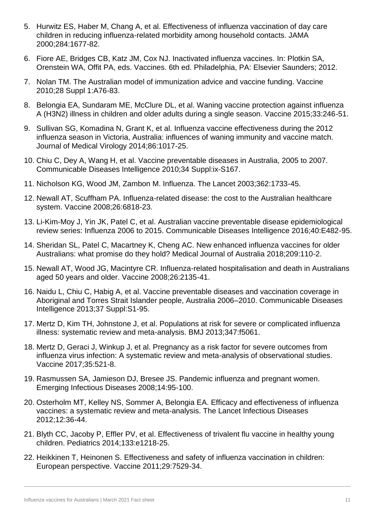- 5. Hurwitz ES, Haber M, Chang A, et al. Effectiveness of influenza vaccination of day care children in reducing influenza-related morbidity among household contacts. JAMA 2000;284:1677-82.
- 6. Fiore AE, Bridges CB, Katz JM, Cox NJ. Inactivated influenza vaccines. In: Plotkin SA, Orenstein WA, Offit PA, eds. Vaccines. 6th ed. Philadelphia, PA: Elsevier Saunders; 2012.
- 7. Nolan TM. The Australian model of immunization advice and vaccine funding. Vaccine 2010;28 Suppl 1:A76-83.
- 8. Belongia EA, Sundaram ME, McClure DL, et al. Waning vaccine protection against influenza A (H3N2) illness in children and older adults during a single season. Vaccine 2015;33:246-51.
- 9. Sullivan SG, Komadina N, Grant K, et al. Influenza vaccine effectiveness during the 2012 influenza season in Victoria, Australia: influences of waning immunity and vaccine match. Journal of Medical Virology 2014;86:1017-25.
- 10. Chiu C, Dey A, Wang H, et al. Vaccine preventable diseases in Australia, 2005 to 2007. Communicable Diseases Intelligence 2010;34 Suppl:ix-S167.
- 11. Nicholson KG, Wood JM, Zambon M. Influenza. The Lancet 2003;362:1733-45.
- 12. Newall AT, Scuffham PA. Influenza-related disease: the cost to the Australian healthcare system. Vaccine 2008;26:6818-23.
- 13. Li-Kim-Moy J, Yin JK, Patel C, et al. Australian vaccine preventable disease epidemiological review series: Influenza 2006 to 2015. Communicable Diseases Intelligence 2016;40:E482-95.
- 14. Sheridan SL, Patel C, Macartney K, Cheng AC. New enhanced influenza vaccines for older Australians: what promise do they hold? Medical Journal of Australia 2018;209:110-2.
- 15. Newall AT, Wood JG, Macintyre CR. Influenza-related hospitalisation and death in Australians aged 50 years and older. Vaccine 2008;26:2135-41.
- 16. Naidu L, Chiu C, Habig A, et al. Vaccine preventable diseases and vaccination coverage in Aboriginal and Torres Strait Islander people, Australia 2006–2010. Communicable Diseases Intelligence 2013;37 Suppl:S1-95.
- 17. Mertz D, Kim TH, Johnstone J, et al. Populations at risk for severe or complicated influenza illness: systematic review and meta-analysis. BMJ 2013;347:f5061.
- 18. Mertz D, Geraci J, Winkup J, et al. Pregnancy as a risk factor for severe outcomes from influenza virus infection: A systematic review and meta-analysis of observational studies. Vaccine 2017;35:521-8.
- 19. Rasmussen SA, Jamieson DJ, Bresee JS. Pandemic influenza and pregnant women. Emerging Infectious Diseases 2008;14:95-100.
- 20. Osterholm MT, Kelley NS, Sommer A, Belongia EA. Efficacy and effectiveness of influenza vaccines: a systematic review and meta-analysis. The Lancet Infectious Diseases 2012;12:36-44.
- 21. Blyth CC, Jacoby P, Effler PV, et al. Effectiveness of trivalent flu vaccine in healthy young children. Pediatrics 2014;133:e1218-25.
- 22. Heikkinen T, Heinonen S. Effectiveness and safety of influenza vaccination in children: European perspective. Vaccine 2011;29:7529-34.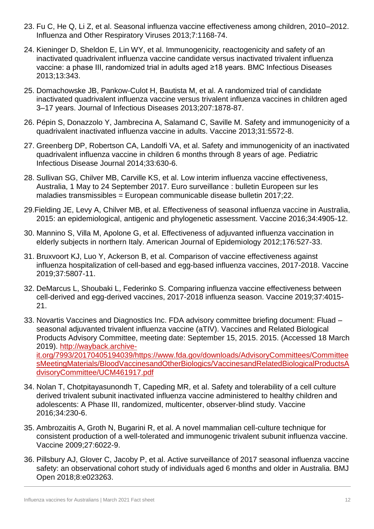- 23. Fu C, He Q, Li Z, et al. Seasonal influenza vaccine effectiveness among children, 2010–2012. Influenza and Other Respiratory Viruses 2013;7:1168-74.
- 24. Kieninger D, Sheldon E, Lin WY, et al. Immunogenicity, reactogenicity and safety of an inactivated quadrivalent influenza vaccine candidate versus inactivated trivalent influenza vaccine: a phase III, randomized trial in adults aged ≥18 years. BMC Infectious Diseases 2013;13:343.
- 25. Domachowske JB, Pankow-Culot H, Bautista M, et al. A randomized trial of candidate inactivated quadrivalent influenza vaccine versus trivalent influenza vaccines in children aged 3–17 years. Journal of Infectious Diseases 2013;207:1878-87.
- 26. Pépin S, Donazzolo Y, Jambrecina A, Salamand C, Saville M. Safety and immunogenicity of a quadrivalent inactivated influenza vaccine in adults. Vaccine 2013;31:5572-8.
- 27. Greenberg DP, Robertson CA, Landolfi VA, et al. Safety and immunogenicity of an inactivated quadrivalent influenza vaccine in children 6 months through 8 years of age. Pediatric Infectious Disease Journal 2014;33:630-6.
- 28. Sullivan SG, Chilver MB, Carville KS, et al. Low interim influenza vaccine effectiveness, Australia, 1 May to 24 September 2017. Euro surveillance : bulletin Europeen sur les maladies transmissibles = European communicable disease bulletin 2017;22.
- 29.Fielding JE, Levy A, Chilver MB, et al. Effectiveness of seasonal influenza vaccine in Australia, 2015: an epidemiological, antigenic and phylogenetic assessment. Vaccine 2016;34:4905-12.
- 30. Mannino S, Villa M, Apolone G, et al. Effectiveness of adjuvanted influenza vaccination in elderly subjects in northern Italy. American Journal of Epidemiology 2012;176:527-33.
- 31. Bruxvoort KJ, Luo Y, Ackerson B, et al. Comparison of vaccine effectiveness against influenza hospitalization of cell-based and egg-based influenza vaccines, 2017-2018. Vaccine 2019;37:5807-11.
- 32. DeMarcus L, Shoubaki L, Federinko S. Comparing influenza vaccine effectiveness between cell-derived and egg-derived vaccines, 2017-2018 influenza season. Vaccine 2019;37:4015- 21.
- 33. Novartis Vaccines and Diagnostics Inc. FDA advisory committee briefing document: Fluad seasonal adjuvanted trivalent influenza vaccine (aTIV). Vaccines and Related Biological Products Advisory Committee, meeting date: September 15, 2015. 2015. (Accessed 18 March 2019). [http://wayback.archive](http://wayback.archive-it.org/7993/20170405194039/https:/www.fda.gov/downloads/AdvisoryCommittees/CommitteesMeetingMaterials/BloodVaccinesandOtherBiologics/VaccinesandRelatedBiologicalProductsAdvisoryCommittee/UCM461917.pdf)[it.org/7993/20170405194039/https://www.fda.gov/downloads/AdvisoryCommittees/Committee](http://wayback.archive-it.org/7993/20170405194039/https:/www.fda.gov/downloads/AdvisoryCommittees/CommitteesMeetingMaterials/BloodVaccinesandOtherBiologics/VaccinesandRelatedBiologicalProductsAdvisoryCommittee/UCM461917.pdf) [sMeetingMaterials/BloodVaccinesandOtherBiologics/VaccinesandRelatedBiologicalProductsA](http://wayback.archive-it.org/7993/20170405194039/https:/www.fda.gov/downloads/AdvisoryCommittees/CommitteesMeetingMaterials/BloodVaccinesandOtherBiologics/VaccinesandRelatedBiologicalProductsAdvisoryCommittee/UCM461917.pdf) [dvisoryCommittee/UCM461917.pdf](http://wayback.archive-it.org/7993/20170405194039/https:/www.fda.gov/downloads/AdvisoryCommittees/CommitteesMeetingMaterials/BloodVaccinesandOtherBiologics/VaccinesandRelatedBiologicalProductsAdvisoryCommittee/UCM461917.pdf)
- 34. Nolan T, Chotpitayasunondh T, Capeding MR, et al. Safety and tolerability of a cell culture derived trivalent subunit inactivated influenza vaccine administered to healthy children and adolescents: A Phase III, randomized, multicenter, observer-blind study. Vaccine 2016;34:230-6.
- 35. Ambrozaitis A, Groth N, Bugarini R, et al. A novel mammalian cell-culture technique for consistent production of a well-tolerated and immunogenic trivalent subunit influenza vaccine. Vaccine 2009;27:6022-9.
- 36. Pillsbury AJ, Glover C, Jacoby P, et al. Active surveillance of 2017 seasonal influenza vaccine safety: an observational cohort study of individuals aged 6 months and older in Australia. BMJ Open 2018;8:e023263.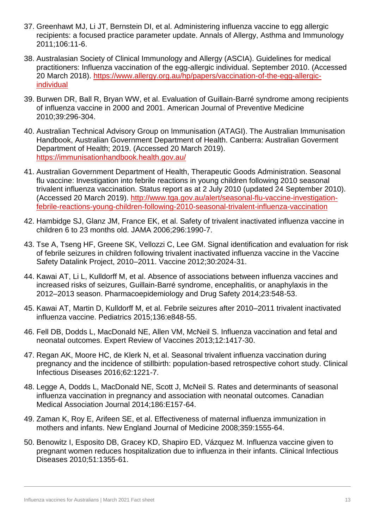- 37. Greenhawt MJ, Li JT, Bernstein DI, et al. Administering influenza vaccine to egg allergic recipients: a focused practice parameter update. Annals of Allergy, Asthma and Immunology 2011;106:11-6.
- 38. Australasian Society of Clinical Immunology and Allergy (ASCIA). Guidelines for medical practitioners: Influenza vaccination of the egg-allergic individual. September 2010. (Accessed 20 March 2018). [https://www.allergy.org.au/hp/papers/vaccination-of-the-egg-allergic](https://www.allergy.org.au/hp/papers/vaccination-of-the-egg-allergic-individual)[individual](https://www.allergy.org.au/hp/papers/vaccination-of-the-egg-allergic-individual)
- 39. Burwen DR, Ball R, Bryan WW, et al. Evaluation of Guillain-Barré syndrome among recipients of influenza vaccine in 2000 and 2001. American Journal of Preventive Medicine 2010;39:296-304.
- 40. Australian Technical Advisory Group on Immunisation (ATAGI). The Australian Immunisation Handbook, Australian Government Department of Health. Canberra: Australian Goverment Department of Health; 2019. (Accessed 20 March 2019). <https://immunisationhandbook.health.gov.au/>
- 41. Australian Government Department of Health, Therapeutic Goods Administration. Seasonal flu vaccine: Investigation into febrile reactions in young children following 2010 seasonal trivalent influenza vaccination. Status report as at 2 July 2010 (updated 24 September 2010). (Accessed 20 March 2019). [http://www.tga.gov.au/alert/seasonal-flu-vaccine-investigation](http://www.tga.gov.au/alert/seasonal-flu-vaccine-investigation-febrile-reactions-young-children-following-2010-seasonal-trivalent-influenza-vaccination)[febrile-reactions-young-children-following-2010-seasonal-trivalent-influenza-vaccination](http://www.tga.gov.au/alert/seasonal-flu-vaccine-investigation-febrile-reactions-young-children-following-2010-seasonal-trivalent-influenza-vaccination)
- 42. Hambidge SJ, Glanz JM, France EK, et al. Safety of trivalent inactivated influenza vaccine in children 6 to 23 months old. JAMA 2006;296:1990-7.
- 43. Tse A, Tseng HF, Greene SK, Vellozzi C, Lee GM. Signal identification and evaluation for risk of febrile seizures in children following trivalent inactivated influenza vaccine in the Vaccine Safety Datalink Project, 2010–2011. Vaccine 2012;30:2024-31.
- 44. Kawai AT, Li L, Kulldorff M, et al. Absence of associations between influenza vaccines and increased risks of seizures, Guillain-Barré syndrome, encephalitis, or anaphylaxis in the 2012–2013 season. Pharmacoepidemiology and Drug Safety 2014;23:548-53.
- 45. Kawai AT, Martin D, Kulldorff M, et al. Febrile seizures after 2010–2011 trivalent inactivated influenza vaccine. Pediatrics 2015;136:e848-55.
- 46. Fell DB, Dodds L, MacDonald NE, Allen VM, McNeil S. Influenza vaccination and fetal and neonatal outcomes. Expert Review of Vaccines 2013;12:1417-30.
- 47. Regan AK, Moore HC, de Klerk N, et al. Seasonal trivalent influenza vaccination during pregnancy and the incidence of stillbirth: population-based retrospective cohort study. Clinical Infectious Diseases 2016;62:1221-7.
- 48. Legge A, Dodds L, MacDonald NE, Scott J, McNeil S. Rates and determinants of seasonal influenza vaccination in pregnancy and association with neonatal outcomes. Canadian Medical Association Journal 2014;186:E157-64.
- 49. Zaman K, Roy E, Arifeen SE, et al. Effectiveness of maternal influenza immunization in mothers and infants. New England Journal of Medicine 2008;359:1555-64.
- 50. Benowitz I, Esposito DB, Gracey KD, Shapiro ED, Vázquez M. Influenza vaccine given to pregnant women reduces hospitalization due to influenza in their infants. Clinical Infectious Diseases 2010;51:1355-61.